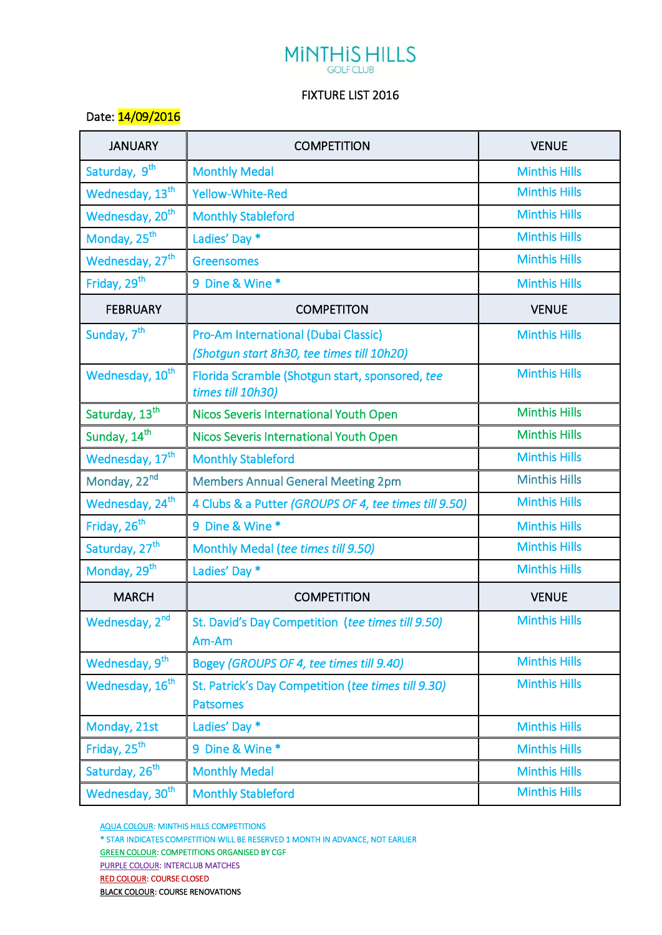## **MINTHIS HILLS**

## FIXTURE LIST 2016

## Date: 14/09/2016

| <b>JANUARY</b>              | <b>COMPETITION</b>                                                                 | <b>VENUE</b>         |
|-----------------------------|------------------------------------------------------------------------------------|----------------------|
| Saturday, 9 <sup>th</sup>   | <b>Monthly Medal</b>                                                               | <b>Minthis Hills</b> |
| Wednesday, 13 <sup>th</sup> | <b>Yellow-White-Red</b>                                                            | <b>Minthis Hills</b> |
| Wednesday, 20 <sup>th</sup> | <b>Monthly Stableford</b>                                                          | <b>Minthis Hills</b> |
| Monday, 25 <sup>th</sup>    | Ladies' Day *                                                                      | <b>Minthis Hills</b> |
| Wednesday, 27 <sup>th</sup> | <b>Greensomes</b>                                                                  | <b>Minthis Hills</b> |
| Friday, 29 <sup>th</sup>    | 9 Dine & Wine *                                                                    | <b>Minthis Hills</b> |
| <b>FEBRUARY</b>             | <b>COMPETITON</b>                                                                  | <b>VENUE</b>         |
| Sunday, 7 <sup>th</sup>     | Pro-Am International (Dubai Classic)<br>(Shotgun start 8h30, tee times till 10h20) | <b>Minthis Hills</b> |
| Wednesday, 10 <sup>th</sup> | Florida Scramble (Shotgun start, sponsored, tee<br>times till 10h30)               | <b>Minthis Hills</b> |
| Saturday, 13 <sup>th</sup>  | Nicos Severis International Youth Open                                             | <b>Minthis Hills</b> |
| Sunday, 14 <sup>th</sup>    | Nicos Severis International Youth Open                                             | <b>Minthis Hills</b> |
| Wednesday, 17 <sup>th</sup> | <b>Monthly Stableford</b>                                                          | <b>Minthis Hills</b> |
| Monday, 22nd                | <b>Members Annual General Meeting 2pm</b>                                          | <b>Minthis Hills</b> |
| Wednesday, 24 <sup>th</sup> | 4 Clubs & a Putter (GROUPS OF 4, tee times till 9.50)                              | <b>Minthis Hills</b> |
| Friday, 26 <sup>th</sup>    | 9 Dine & Wine *                                                                    | <b>Minthis Hills</b> |
| Saturday, 27 <sup>th</sup>  | Monthly Medal (tee times till 9.50)                                                | <b>Minthis Hills</b> |
| Monday, 29 <sup>th</sup>    | Ladies' Day *                                                                      | <b>Minthis Hills</b> |
| <b>MARCH</b>                | <b>COMPETITION</b>                                                                 | <b>VENUE</b>         |
| Wednesday, 2 <sup>nd</sup>  | St. David's Day Competition (tee times till 9.50)<br>Am-Am                         | <b>Minthis Hills</b> |
| Wednesday, 9 <sup>th</sup>  | Bogey (GROUPS OF 4, tee times till 9.40)                                           | <b>Minthis Hills</b> |
| Wednesday, 16 <sup>th</sup> | St. Patrick's Day Competition (tee times till 9.30)<br><b>Patsomes</b>             | <b>Minthis Hills</b> |
| Monday, 21st                | Ladies' Day *                                                                      | <b>Minthis Hills</b> |
| Friday, 25 <sup>th</sup>    | 9 Dine & Wine *                                                                    | <b>Minthis Hills</b> |
| Saturday, 26 <sup>th</sup>  | <b>Monthly Medal</b>                                                               | <b>Minthis Hills</b> |
| Wednesday, 30 <sup>th</sup> | <b>Monthly Stableford</b>                                                          | <b>Minthis Hills</b> |

AQUA COLOUR: MINTHIS HILLS COMPETITIONS

\* STAR INDICATES COMPETITION WILL BE RESERVED 1 MONTH IN ADVANCE, NOT EARLIER

**GREEN COLOUR: COMPETITIONS ORGANISED BY CGF** 

PURPLE COLOUR: INTERCLUB MATCHES

RED COLOUR: COURSE CLOSED

**BLACK COLOUR: COURSE RENOVATIONS**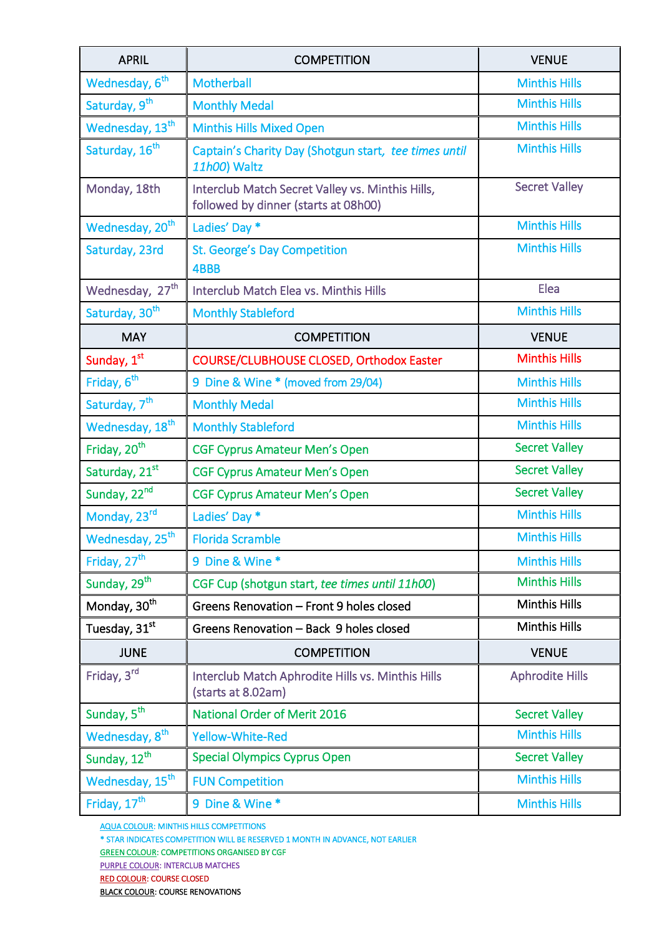| <b>APRIL</b>                | <b>COMPETITION</b>                                                                       | <b>VENUE</b>           |
|-----------------------------|------------------------------------------------------------------------------------------|------------------------|
| Wednesday, 6 <sup>th</sup>  | <b>Motherball</b>                                                                        | <b>Minthis Hills</b>   |
| Saturday, 9 <sup>th</sup>   | <b>Monthly Medal</b>                                                                     | <b>Minthis Hills</b>   |
| Wednesday, 13 <sup>th</sup> | <b>Minthis Hills Mixed Open</b>                                                          | <b>Minthis Hills</b>   |
| Saturday, 16 <sup>th</sup>  | Captain's Charity Day (Shotgun start, tee times until<br>11h00) Waltz                    | <b>Minthis Hills</b>   |
| Monday, 18th                | Interclub Match Secret Valley vs. Minthis Hills,<br>followed by dinner (starts at 08h00) | <b>Secret Valley</b>   |
| Wednesday, 20 <sup>th</sup> | Ladies' Day *                                                                            | <b>Minthis Hills</b>   |
| Saturday, 23rd              | <b>St. George's Day Competition</b><br>4BBB                                              | <b>Minthis Hills</b>   |
| Wednesday, 27 <sup>th</sup> | Interclub Match Elea vs. Minthis Hills                                                   | Elea                   |
| Saturday, 30 <sup>th</sup>  | <b>Monthly Stableford</b>                                                                | <b>Minthis Hills</b>   |
| <b>MAY</b>                  | <b>COMPETITION</b>                                                                       | <b>VENUE</b>           |
| Sunday, 1st                 | COURSE/CLUBHOUSE CLOSED, Orthodox Easter                                                 | <b>Minthis Hills</b>   |
| Friday, 6 <sup>th</sup>     | 9 Dine & Wine * (moved from 29/04)                                                       | <b>Minthis Hills</b>   |
| Saturday, 7 <sup>th</sup>   | <b>Monthly Medal</b>                                                                     | <b>Minthis Hills</b>   |
| Wednesday, 18 <sup>th</sup> | <b>Monthly Stableford</b>                                                                | <b>Minthis Hills</b>   |
| Friday, 20 <sup>th</sup>    | <b>CGF Cyprus Amateur Men's Open</b>                                                     | <b>Secret Valley</b>   |
| Saturday, 21st              | <b>CGF Cyprus Amateur Men's Open</b>                                                     | <b>Secret Valley</b>   |
| Sunday, 22nd                | <b>CGF Cyprus Amateur Men's Open</b>                                                     | <b>Secret Valley</b>   |
| Monday, 23rd                | Ladies' Day *                                                                            | <b>Minthis Hills</b>   |
| Wednesday, 25 <sup>th</sup> | <b>Florida Scramble</b>                                                                  | <b>Minthis Hills</b>   |
| Friday, 27 <sup>th</sup>    | 9 Dine & Wine *                                                                          | <b>Minthis Hills</b>   |
| Sunday, 29 <sup>th</sup>    | CGF Cup (shotgun start, tee times until 11h00)                                           | <b>Minthis Hills</b>   |
| Monday, 30 <sup>th</sup>    | Greens Renovation - Front 9 holes closed                                                 | <b>Minthis Hills</b>   |
| Tuesday, 31 <sup>st</sup>   | Greens Renovation - Back 9 holes closed                                                  | <b>Minthis Hills</b>   |
| <b>JUNE</b>                 | <b>COMPETITION</b>                                                                       | <b>VENUE</b>           |
| Friday, 3rd                 | Interclub Match Aphrodite Hills vs. Minthis Hills<br>(starts at 8.02am)                  | <b>Aphrodite Hills</b> |
| Sunday, 5 <sup>th</sup>     | <b>National Order of Merit 2016</b>                                                      | <b>Secret Valley</b>   |
| Wednesday, 8 <sup>th</sup>  | <b>Yellow-White-Red</b>                                                                  | <b>Minthis Hills</b>   |
| Sunday, 12 <sup>th</sup>    | <b>Special Olympics Cyprus Open</b>                                                      | <b>Secret Valley</b>   |
| Wednesday, 15 <sup>th</sup> | <b>FUN Competition</b>                                                                   | <b>Minthis Hills</b>   |
| Friday, 17 <sup>th</sup>    | 9 Dine & Wine *                                                                          | <b>Minthis Hills</b>   |

AQUA COLOUR: MINTHIS HILLS COMPETITIONS

\* STAR INDICATES COMPETITION WILL BE RESERVED 1 MONTH IN ADVANCE, NOT EARLIER

**GREEN COLOUR: COMPETITIONS ORGANISED BY CGF** 

PURPLE COLOUR: INTERCLUB MATCHES

RED COLOUR: COURSE CLOSED

BLACK COLOUR: COURSE RENOVATIONS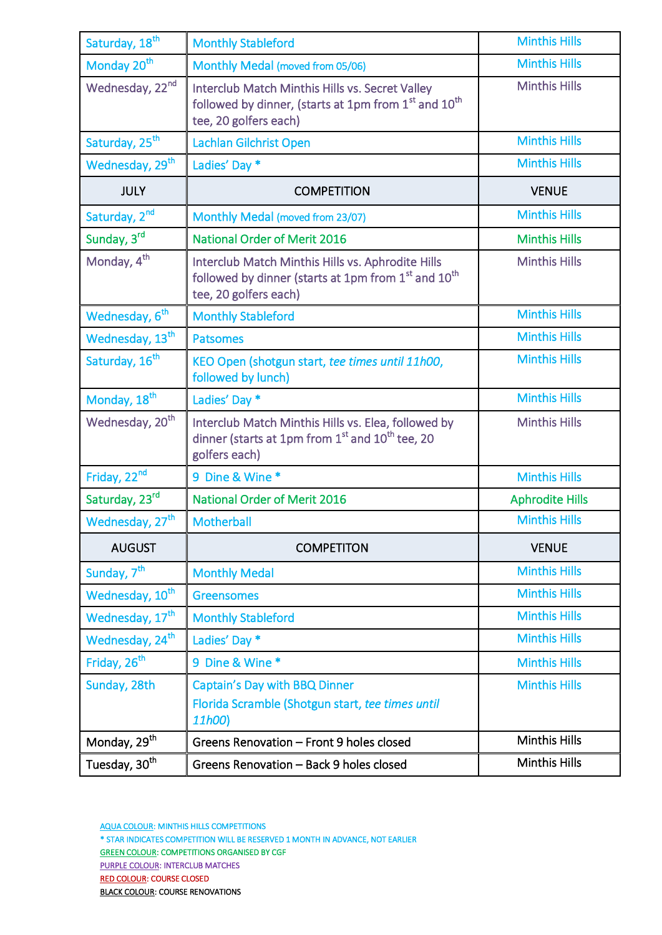| Saturday, 18 <sup>th</sup>  | <b>Monthly Stableford</b>                                                                                                                       | <b>Minthis Hills</b>   |
|-----------------------------|-------------------------------------------------------------------------------------------------------------------------------------------------|------------------------|
| Monday 20 <sup>th</sup>     | Monthly Medal (moved from 05/06)                                                                                                                | <b>Minthis Hills</b>   |
| Wednesday, 22nd             | Interclub Match Minthis Hills vs. Secret Valley<br>followed by dinner, (starts at 1pm from 1st and 10 <sup>th</sup><br>tee, 20 golfers each)    | <b>Minthis Hills</b>   |
| Saturday, 25 <sup>th</sup>  | Lachlan Gilchrist Open                                                                                                                          | <b>Minthis Hills</b>   |
| Wednesday, 29 <sup>th</sup> | Ladies' Day *                                                                                                                                   | <b>Minthis Hills</b>   |
| <b>JULY</b>                 | <b>COMPETITION</b>                                                                                                                              | <b>VENUE</b>           |
| Saturday, 2 <sup>nd</sup>   | Monthly Medal (moved from 23/07)                                                                                                                | <b>Minthis Hills</b>   |
| Sunday, 3rd                 | <b>National Order of Merit 2016</b>                                                                                                             | <b>Minthis Hills</b>   |
| Monday, 4 <sup>th</sup>     | Interclub Match Minthis Hills vs. Aphrodite Hills<br>followed by dinner (starts at 1pm from 1st and 10 <sup>th</sup><br>tee, 20 golfers each)   | <b>Minthis Hills</b>   |
| Wednesday, 6 <sup>th</sup>  | <b>Monthly Stableford</b>                                                                                                                       | <b>Minthis Hills</b>   |
| Wednesday, 13 <sup>th</sup> | <b>Patsomes</b>                                                                                                                                 | <b>Minthis Hills</b>   |
| Saturday, 16 <sup>th</sup>  | KEO Open (shotgun start, tee times until 11h00,<br>followed by lunch)                                                                           | <b>Minthis Hills</b>   |
| Monday, 18 <sup>th</sup>    | Ladies' Day *                                                                                                                                   | <b>Minthis Hills</b>   |
| Wednesday, 20 <sup>th</sup> | Interclub Match Minthis Hills vs. Elea, followed by<br>dinner (starts at 1pm from 1 <sup>st</sup> and 10 <sup>th</sup> tee, 20<br>golfers each) | <b>Minthis Hills</b>   |
| Friday, 22nd                | 9 Dine & Wine *                                                                                                                                 | <b>Minthis Hills</b>   |
| Saturday, 23rd              | <b>National Order of Merit 2016</b>                                                                                                             | <b>Aphrodite Hills</b> |
| Wednesday, 27 <sup>th</sup> | Motherball                                                                                                                                      | <b>Minthis Hills</b>   |
| <b>AUGUST</b>               | <b>COMPETITON</b>                                                                                                                               | <b>VENUE</b>           |
| Sunday, 7 <sup>th</sup>     | <b>Monthly Medal</b>                                                                                                                            | <b>Minthis Hills</b>   |
| Wednesday, 10 <sup>th</sup> | <b>Greensomes</b>                                                                                                                               | <b>Minthis Hills</b>   |
| Wednesday, 17 <sup>th</sup> | <b>Monthly Stableford</b>                                                                                                                       | <b>Minthis Hills</b>   |
| Wednesday, 24 <sup>th</sup> | Ladies' Day *                                                                                                                                   | <b>Minthis Hills</b>   |
| Friday, 26 <sup>th</sup>    | 9 Dine & Wine *                                                                                                                                 | <b>Minthis Hills</b>   |
| Sunday, 28th                | Captain's Day with BBQ Dinner<br>Florida Scramble (Shotgun start, tee times until<br>11h00)                                                     | <b>Minthis Hills</b>   |
| Monday, 29 <sup>th</sup>    | Greens Renovation - Front 9 holes closed                                                                                                        | <b>Minthis Hills</b>   |
| Tuesday, 30 <sup>th</sup>   | Greens Renovation - Back 9 holes closed                                                                                                         | <b>Minthis Hills</b>   |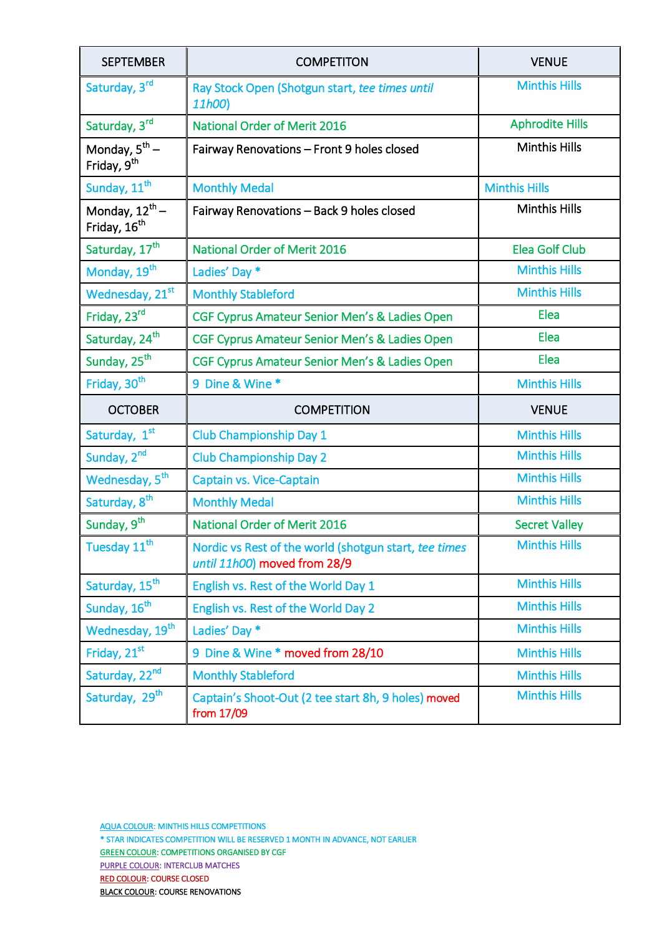| <b>SEPTEMBER</b>                                       | <b>COMPETITON</b>                                                                     | <b>VENUE</b>           |
|--------------------------------------------------------|---------------------------------------------------------------------------------------|------------------------|
| Saturday, 3rd                                          | Ray Stock Open (Shotgun start, tee times until<br>11h00)                              | <b>Minthis Hills</b>   |
| Saturday, 3rd                                          | <b>National Order of Merit 2016</b>                                                   | <b>Aphrodite Hills</b> |
| Monday, $5^{\text{th}}$ –<br>Friday, 9 <sup>th</sup>   | Fairway Renovations - Front 9 holes closed                                            | <b>Minthis Hills</b>   |
| Sunday, 11 <sup>th</sup>                               | <b>Monthly Medal</b>                                                                  | <b>Minthis Hills</b>   |
| Monday, 12 <sup>th</sup> -<br>Friday, 16 <sup>th</sup> | Fairway Renovations - Back 9 holes closed                                             | <b>Minthis Hills</b>   |
| Saturday, 17 <sup>th</sup>                             | <b>National Order of Merit 2016</b>                                                   | <b>Elea Golf Club</b>  |
| Monday, 19 <sup>th</sup>                               | Ladies' Day *                                                                         | <b>Minthis Hills</b>   |
| Wednesday, 21st                                        | <b>Monthly Stableford</b>                                                             | <b>Minthis Hills</b>   |
| Friday, 23rd                                           | CGF Cyprus Amateur Senior Men's & Ladies Open                                         | Elea                   |
| Saturday, 24 <sup>th</sup>                             | CGF Cyprus Amateur Senior Men's & Ladies Open                                         | Elea                   |
| Sunday, 25 <sup>th</sup>                               | CGF Cyprus Amateur Senior Men's & Ladies Open                                         | Elea                   |
| Friday, 30 <sup>th</sup>                               | 9 Dine & Wine *                                                                       | <b>Minthis Hills</b>   |
| <b>OCTOBER</b>                                         | <b>COMPETITION</b>                                                                    | <b>VENUE</b>           |
| Saturday, 1st                                          | <b>Club Championship Day 1</b>                                                        | <b>Minthis Hills</b>   |
| Sunday, 2 <sup>nd</sup>                                | <b>Club Championship Day 2</b>                                                        | <b>Minthis Hills</b>   |
| Wednesday, 5 <sup>th</sup>                             | Captain vs. Vice-Captain                                                              | <b>Minthis Hills</b>   |
| Saturday, 8 <sup>th</sup>                              | <b>Monthly Medal</b>                                                                  | <b>Minthis Hills</b>   |
| Sunday, 9 <sup>th</sup>                                | <b>National Order of Merit 2016</b>                                                   | <b>Secret Valley</b>   |
| Tuesday 11 <sup>th</sup>                               | Nordic vs Rest of the world (shotgun start, tee times<br>until 11h00) moved from 28/9 | <b>Minthis Hills</b>   |
| Saturday, 15 <sup>th</sup>                             | English vs. Rest of the World Day 1                                                   | <b>Minthis Hills</b>   |
| Sunday, 16 <sup>th</sup>                               | English vs. Rest of the World Day 2                                                   | <b>Minthis Hills</b>   |
| Wednesday, 19 <sup>th</sup>                            | Ladies' Day *                                                                         | <b>Minthis Hills</b>   |
| Friday, 21st                                           | 9 Dine & Wine * moved from 28/10                                                      | <b>Minthis Hills</b>   |
| Saturday, 22nd                                         | <b>Monthly Stableford</b>                                                             | <b>Minthis Hills</b>   |
| Saturday, 29 <sup>th</sup>                             | Captain's Shoot-Out (2 tee start 8h, 9 holes) moved<br>from 17/09                     | <b>Minthis Hills</b>   |